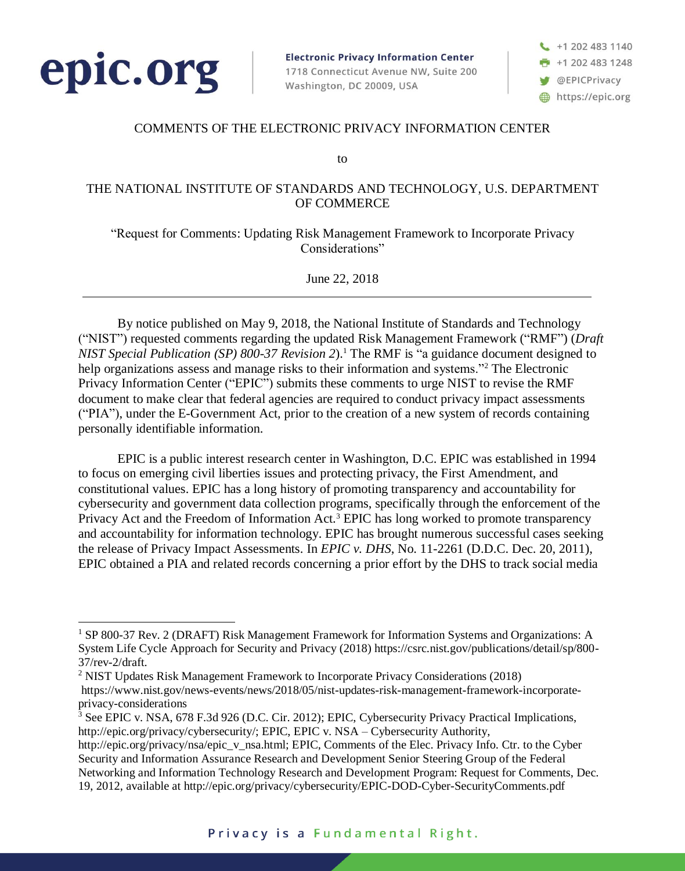

 $\overline{a}$ 

**Electronic Privacy Information Center** 1718 Connecticut Avenue NW, Suite 200 Washington, DC 20009, USA

+1 202 483 1140  $+12024831248$ **S** @EPICPrivacy https://epic.org

## COMMENTS OF THE ELECTRONIC PRIVACY INFORMATION CENTER

to

## THE NATIONAL INSTITUTE OF STANDARDS AND TECHNOLOGY, U.S. DEPARTMENT OF COMMERCE

"Request for Comments: Updating Risk Management Framework to Incorporate Privacy Considerations"

June 22, 2018

By notice published on May 9, 2018, the National Institute of Standards and Technology ("NIST") requested comments regarding the updated Risk Management Framework ("RMF") (*Draft NIST Special Publication (SP) 800-37 Revision 2*).<sup>1</sup> The RMF is "a guidance document designed to help organizations assess and manage risks to their information and systems."<sup>2</sup> The Electronic Privacy Information Center ("EPIC") submits these comments to urge NIST to revise the RMF document to make clear that federal agencies are required to conduct privacy impact assessments ("PIA"), under the E-Government Act, prior to the creation of a new system of records containing personally identifiable information.

EPIC is a public interest research center in Washington, D.C. EPIC was established in 1994 to focus on emerging civil liberties issues and protecting privacy, the First Amendment, and constitutional values. EPIC has a long history of promoting transparency and accountability for cybersecurity and government data collection programs, specifically through the enforcement of the Privacy Act and the Freedom of Information Act.<sup>3</sup> EPIC has long worked to promote transparency and accountability for information technology. EPIC has brought numerous successful cases seeking the release of Privacy Impact Assessments. In *EPIC v. DHS*, No. 11-2261 (D.D.C. Dec. 20, 2011), EPIC obtained a PIA and related records concerning a prior effort by the DHS to track social media

<sup>1</sup> SP 800-37 Rev. 2 (DRAFT) Risk Management Framework for Information Systems and Organizations: A System Life Cycle Approach for Security and Privacy (2018) https://csrc.nist.gov/publications/detail/sp/800- 37/rev-2/draft.

<sup>2</sup> NIST Updates Risk Management Framework to Incorporate Privacy Considerations (2018) https://www.nist.gov/news-events/news/2018/05/nist-updates-risk-management-framework-incorporateprivacy-considerations

<sup>3</sup> See EPIC v. NSA, 678 F.3d 926 (D.C. Cir. 2012); EPIC, Cybersecurity Privacy Practical Implications, http://epic.org/privacy/cybersecurity/; EPIC, EPIC v. NSA – Cybersecurity Authority,

http://epic.org/privacy/nsa/epic\_v\_nsa.html; EPIC, Comments of the Elec. Privacy Info. Ctr. to the Cyber Security and Information Assurance Research and Development Senior Steering Group of the Federal Networking and Information Technology Research and Development Program: Request for Comments, Dec. 19, 2012, available at http://epic.org/privacy/cybersecurity/EPIC-DOD-Cyber-SecurityComments.pdf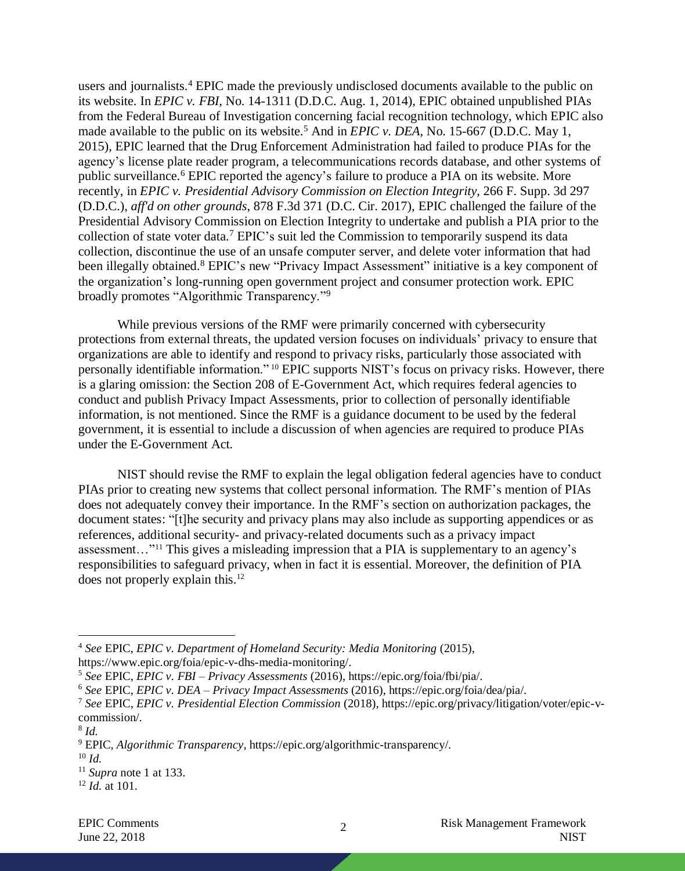users and journalists.<sup>4</sup> EPIC made the previously undisclosed documents available to the public on its website. In *EPIC v. FBI*, No. 14-1311 (D.D.C. Aug. 1, 2014), EPIC obtained unpublished PIAs from the Federal Bureau of Investigation concerning facial recognition technology, which EPIC also made available to the public on its website.<sup>5</sup> And in *EPIC v. DEA*, No. 15-667 (D.D.C. May 1, 2015), EPIC learned that the Drug Enforcement Administration had failed to produce PIAs for the agency's license plate reader program, a telecommunications records database, and other systems of public surveillance.<sup>6</sup> EPIC reported the agency's failure to produce a PIA on its website. More recently, in *EPIC v. Presidential Advisory Commission on Election Integrity*, 266 F. Supp. 3d 297 (D.D.C.), *aff'd on other grounds*, 878 F.3d 371 (D.C. Cir. 2017), EPIC challenged the failure of the Presidential Advisory Commission on Election Integrity to undertake and publish a PIA prior to the collection of state voter data.<sup>7</sup> EPIC's suit led the Commission to temporarily suspend its data collection, discontinue the use of an unsafe computer server, and delete voter information that had been illegally obtained.<sup>8</sup> EPIC's new "Privacy Impact Assessment" initiative is a key component of the organization's long-running open government project and consumer protection work. EPIC broadly promotes "Algorithmic Transparency."<sup>9</sup>

While previous versions of the RMF were primarily concerned with cybersecurity protections from external threats, the updated version focuses on individuals' privacy to ensure that organizations are able to identify and respond to privacy risks, particularly those associated with personally identifiable information." <sup>10</sup> EPIC supports NIST's focus on privacy risks. However, there is a glaring omission: the Section 208 of E-Government Act, which requires federal agencies to conduct and publish Privacy Impact Assessments, prior to collection of personally identifiable information, is not mentioned. Since the RMF is a guidance document to be used by the federal government, it is essential to include a discussion of when agencies are required to produce PIAs under the E-Government Act.

NIST should revise the RMF to explain the legal obligation federal agencies have to conduct PIAs prior to creating new systems that collect personal information. The RMF's mention of PIAs does not adequately convey their importance. In the RMF's section on authorization packages, the document states: "[t]he security and privacy plans may also include as supporting appendices or as references, additional security- and privacy-related documents such as a privacy impact assessment…"<sup>11</sup> This gives a misleading impression that a PIA is supplementary to an agency's responsibilities to safeguard privacy, when in fact it is essential. Moreover, the definition of PIA does not properly explain this.<sup>12</sup>

 $\overline{a}$ 

<sup>4</sup> *See* EPIC, *EPIC v. Department of Homeland Security: Media Monitoring* (2015),

https://www.epic.org/foia/epic-v-dhs-media-monitoring/.

<sup>5</sup> *See* EPIC, *EPIC v. FBI – Privacy Assessments* (2016), https://epic.org/foia/fbi/pia/.

<sup>6</sup> *See* EPIC, *EPIC v. DEA – Privacy Impact Assessments* (2016), https://epic.org/foia/dea/pia/.

<sup>7</sup> *See* EPIC, *EPIC v. Presidential Election Commission* (2018), https://epic.org/privacy/litigation/voter/epic-vcommission/.

<sup>8</sup> *Id.*

<sup>9</sup> EPIC, *Algorithmic Transparency*, https://epic.org/algorithmic-transparency/.

<sup>10</sup> *Id.*

 $11$  *Supra* note 1 at 133.

<sup>12</sup> *Id.* at 101.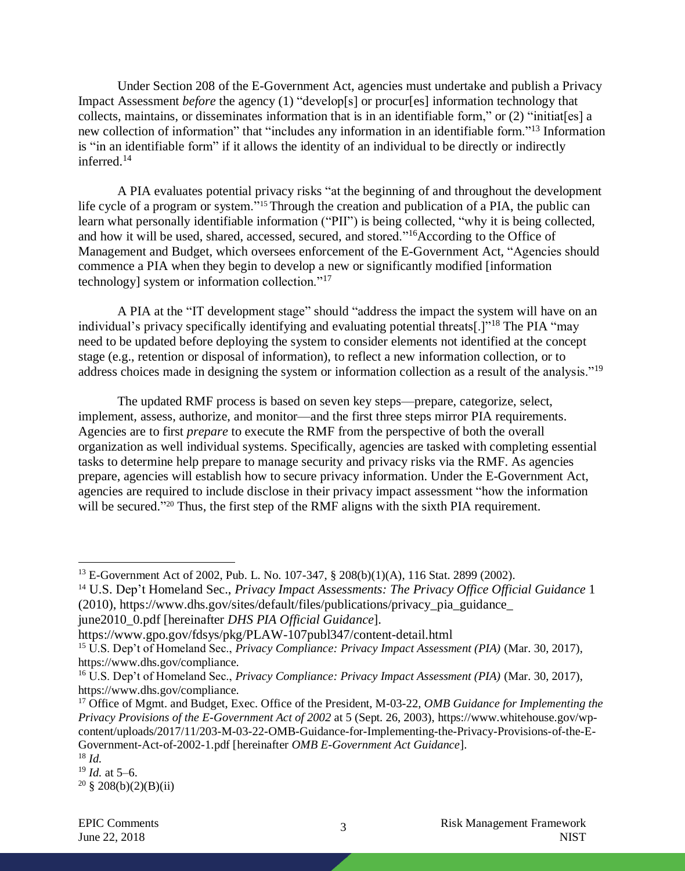Under Section 208 of the E-Government Act, agencies must undertake and publish a Privacy Impact Assessment *before* the agency (1) "develop[s] or procur[es] information technology that collects, maintains, or disseminates information that is in an identifiable form," or (2) "initiat[es] a new collection of information" that "includes any information in an identifiable form."<sup>13</sup> Information is "in an identifiable form" if it allows the identity of an individual to be directly or indirectly inferred.<sup>14</sup>

A PIA evaluates potential privacy risks "at the beginning of and throughout the development life cycle of a program or system."<sup>15</sup> Through the creation and publication of a PIA, the public can learn what personally identifiable information ("PII") is being collected, "why it is being collected, and how it will be used, shared, accessed, secured, and stored."<sup>16</sup>According to the Office of Management and Budget, which oversees enforcement of the E-Government Act, "Agencies should commence a PIA when they begin to develop a new or significantly modified [information technology] system or information collection."<sup>17</sup>

A PIA at the "IT development stage" should "address the impact the system will have on an individual's privacy specifically identifying and evaluating potential threats[.]"<sup>18</sup> The PIA "may need to be updated before deploying the system to consider elements not identified at the concept stage (e.g., retention or disposal of information), to reflect a new information collection, or to address choices made in designing the system or information collection as a result of the analysis."<sup>19</sup>

The updated RMF process is based on seven key steps—prepare, categorize, select, implement, assess, authorize, and monitor—and the first three steps mirror PIA requirements. Agencies are to first *prepare* to execute the RMF from the perspective of both the overall organization as well individual systems. Specifically, agencies are tasked with completing essential tasks to determine help prepare to manage security and privacy risks via the RMF. As agencies prepare, agencies will establish how to secure privacy information. Under the E-Government Act, agencies are required to include disclose in their privacy impact assessment "how the information will be secured."<sup>20</sup> Thus, the first step of the RMF aligns with the sixth PIA requirement.

 $\overline{a}$ 

<sup>20</sup> § 208(b)(2)(B)(ii)

<sup>13</sup> E-Government Act of 2002, Pub. L. No. 107-347, § 208(b)(1)(A), 116 Stat. 2899 (2002).

<sup>14</sup> U.S. Dep't Homeland Sec., *Privacy Impact Assessments: The Privacy Office Official Guidance* 1 (2010), https://www.dhs.gov/sites/default/files/publications/privacy\_pia\_guidance\_ june2010\_0.pdf [hereinafter *DHS PIA Official Guidance*].

https://www.gpo.gov/fdsys/pkg/PLAW-107publ347/content-detail.html

<sup>15</sup> U.S. Dep't of Homeland Sec., *Privacy Compliance: Privacy Impact Assessment (PIA)* (Mar. 30, 2017), https://www.dhs.gov/compliance.

<sup>16</sup> U.S. Dep't of Homeland Sec., *Privacy Compliance: Privacy Impact Assessment (PIA)* (Mar. 30, 2017), https://www.dhs.gov/compliance.

<sup>&</sup>lt;sup>17</sup> Office of Mgmt. and Budget, Exec. Office of the President, M-03-22, *OMB Guidance for Implementing the Privacy Provisions of the E-Government Act of 2002* at 5 (Sept. 26, 2003), https://www.whitehouse.gov/wpcontent/uploads/2017/11/203-M-03-22-OMB-Guidance-for-Implementing-the-Privacy-Provisions-of-the-E-Government-Act-of-2002-1.pdf [hereinafter *OMB E-Government Act Guidance*].

<sup>18</sup> *Id.*

<sup>19</sup> *Id.* at 5–6.